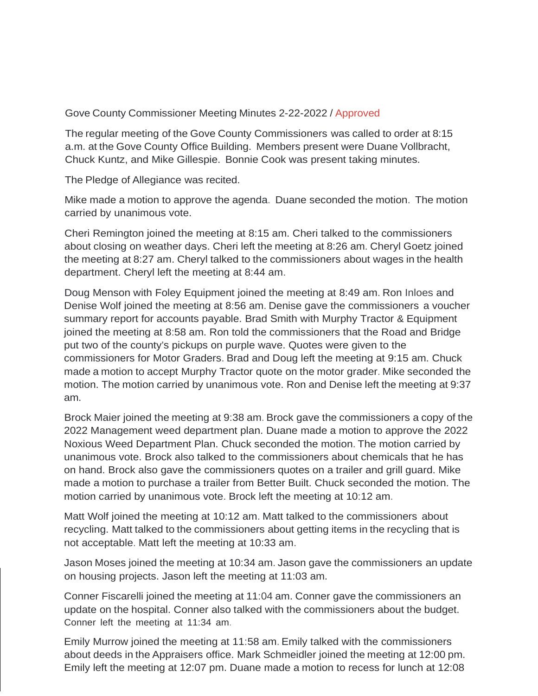## Gove County Commissioner Meeting Minutes 2-22-2022 / Approved

The regular meeting of the Gove County Commissioners was called to order at 8:15 a.m. at the Gove County Office Building. Members present were Duane Vollbracht, Chuck Kuntz, and Mike Gillespie. Bonnie Cook was present taking minutes.

The Pledge of Allegiance was recited.

Mike made a motion to approve the agenda. Duane seconded the motion. The motion carried by unanimous vote.

Cheri Remington joined the meeting at 8:15 am. Cheri talked to the commissioners about closing on weather days. Cheri left the meeting at 8:26 am. Cheryl Goetz joined the meeting at 8:27 am. Cheryl talked to the commissioners about wages in the health department. Cheryl left the meeting at 8:44 am.

Doug Menson with Foley Equipment joined the meeting at 8:49 am. Ron Inloes and Denise Wolf joined the meeting at 8:56 am. Denise gave the commissioners a voucher summary report for accounts payable. Brad Smith with Murphy Tractor & Equipment joined the meeting at 8:58 am. Ron told the commissioners that the Road and Bridge put two of the county's pickups on purple wave. Quotes were given to the commissioners for Motor Graders. Brad and Doug left the meeting at 9:15 am. Chuck made a motion to accept Murphy Tractor quote on the motor grader. Mike seconded the motion. The motion carried by unanimous vote. Ron and Denise left the meeting at 9:37 am.

Brock Maier joined the meeting at 9:38 am. Brock gave the commissioners a copy of the 2022 Management weed department plan. Duane made a motion to approve the 2022 Noxious Weed Department Plan. Chuck seconded the motion. The motion carried by unanimous vote. Brock also talked to the commissioners about chemicals that he has on hand. Brock also gave the commissioners quotes on a trailer and grill guard. Mike made a motion to purchase a trailer from Better Built. Chuck seconded the motion. The motion carried by unanimous vote. Brock left the meeting at 10:12 am.

Matt Wolf joined the meeting at 10:12 am. Matt talked to the commissioners about recycling. Matt talked to the commissioners about getting items in the recycling that is not acceptable. Matt left the meeting at 10:33 am.

Jason Moses joined the meeting at 10:34 am. Jason gave the commissioners an update on housing projects. Jason left the meeting at 11:03 am.

Conner Fiscarelli joined the meeting at 11:04 am. Conner gave the commissioners an update on the hospital. Conner also talked with the commissioners about the budget. Conner left the meeting at 11:34 am.

Emily Murrow joined the meeting at 11:58 am. Emily talked with the commissioners about deeds in the Appraisers office. Mark Schmeidler joined the meeting at 12:00 pm. Emily left the meeting at 12:07 pm. Duane made a motion to recess for lunch at 12:08